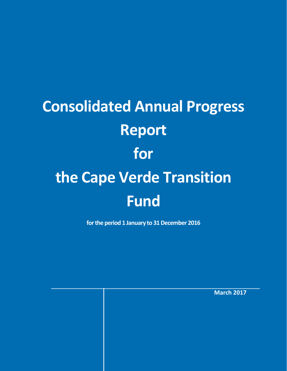# **Consolidated Annual Progress Report for the Cape Verde Transition Fund**

**for the period 1 January to 31 December 2016**

**March 2017**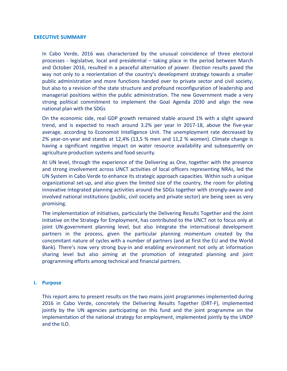#### **EXECUTIVE SUMMARY**

In Cabo Verde, 2016 was characterized by the unusual coincidence of three electoral processes - legislative, local and presidential – taking place in the period between March and October 2016, resulted in a peaceful alternation of power. Election results paved the way not only to a reorientation of the country's development strategy towards a smaller public administration and more functions handed over to private sector and civil society, but also to a revision of the state structure and profound reconfiguration of leadership and managerial positions within the public administration. The new Government made a very strong political commitment to implement the Goal Agenda 2030 and align the new national plan with the SDGs

On the economic side, real GDP growth remained stable around 1% with a slight upward trend, and is expected to reach around 3.2% per year in 2017-18, above the five-year average, according to Economist Intelligence Unit. The unemployment rate decreased by 2% year-on-year and stands at 12,4% (13,5 % men and 11,2 % women). Climate change is having a significant negative impact on water resource availability and subsequently on agriculture production systems and food security.

At UN level, through the experience of the Delivering as One, together with the presence and strong involvement across UNCT activities of local officers representing NRAs, led the UN System in Cabo Verde to enhance its strategic approach capacities. Within such a unique organizational set-up, and also given the limited size of the country, the room for piloting innovative integrated planning activities around the SDGs together with strongly-aware and involved national institutions (public, civil society and private sector) are being seen as very promising.

The implementation of initiatives, particularly the Delivering Results Together and the Joint Initiative on the Strategy for Employment, has contributed to the UNCT not to focus only at joint UN-government planning level, but also integrate the international development partners in the process, given the particular planning momentum created by the concomitant nature of cycles with a number of partners (and at first the EU and the World Bank). There's now very strong buy-in and enabling environment not only at information sharing level but also aiming at the promotion of integrated planning and joint programming efforts among technical and financial partners.

#### **I. Purpose**

This report aims to present results on the two mains joint programmes implemented during 2016 in Cabo Verde, concretely the Delivering Results Together (DRT-F), implemented jointly by the UN agencies participating on this fund and the joint programme on the implementation of the national strategy for employment, implemented jointly by the UNDP and the ILO.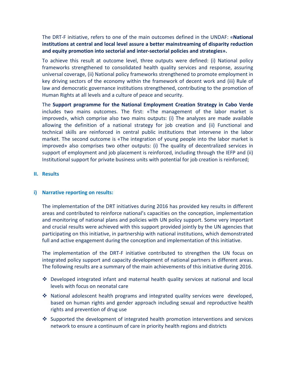The DRT-F initiative, refers to one of the main outcomes defined in the UNDAF: «**National institutions at central and local level assure a better mainstreaming of disparity reduction and equity promotion into sectorial and inter-sectorial policies and strategies».**

To achieve this result at outcome level, three outputs were defined: (i) National policy frameworks strengthened to consolidated health quality services and response, assuring universal coverage, (ii) National policy frameworks strengthened to promote employment in key driving sectors of the economy within the framework of decent work and (iii) Rule of law and democratic governance institutions strengthened, contributing to the promotion of Human Rights at all levels and a culture of peace and security.

The **Support programme for the National Employment Creation Strategy in Cabo Verde** includes two mains outcomes. The first: «The management of the labor market is improved», which comprise also two mains outputs: (i) The analyzes are made available allowing the definition of a national strategy for job creation and (ii) Functional and technical skills are reinforced in central public institutions that intervene in the labor market. The second outcome is «The integration of young people into the labor market is improved» also comprises two other outputs: (i) The quality of decentralized services in support of employment and job placement is reinforced, including through the IEFP and (ii) Institutional support for private business units with potential for job creation is reinforced;

## **II. Results**

## **i) Narrative reporting on results:**

The implementation of the DRT initiatives during 2016 has provided key results in different areas and contributed to reinforce national's capacities on the conception, implementation and monitoring of national plans and policies with UN policy support. Some very important and crucial results were achieved with this support provided jointly by the UN agencies that participating on this initiative, in partnership with national institutions, which demonstrated full and active engagement during the conception and implementation of this initiative.

The implementation of the DRT-F initiative contributed to strengthen the UN focus on integrated policy support and capacity development of national partners in different areas. The following results are a summary of the main achievements of this initiative during 2016.

- $\cdot$  Developed integrated infant and maternal health quality services at national and local levels with focus on neonatal care
- $\cdot$  National adolescent health programs and integrated quality services were developed, based on human rights and gender approach including sexual and reproductive health rights and prevention of drug use
- Supported the development of integrated health promotion interventions and services network to ensure a continuum of care in priority health regions and districts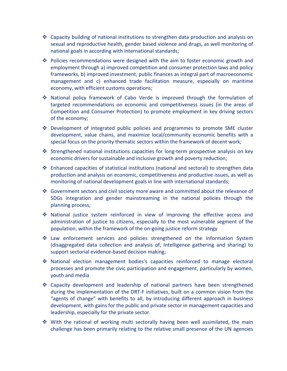- $\cdot$  Capacity building of national institutions to strengthen data production and analysis on sexual and reproductive health, gender based violence and drugs, as well monitoring of national goals in according with international standards;
- $\cdot \cdot$  Policies recommendations were designed with the aim to foster economic growth and employment through a) improved competition and consumer protection laws and policy frameworks, b) improved investment, public finances as integral part of macroeconomic management and c) enhanced trade facilitation measure, especially on maritime economy, with efficient customs operations;
- National policy framework of Cabo Verde is improved through the formulation of targeted recommendations on economic and competitiveness issues (in the areas of Competition and Consumer Protection) to promote employment in key driving sectors of the economy;
- $\triangle$  Development of integrated public policies and programmes to promote SME cluster development, value chains, and maximize local/community economic benefits with a special focus on the priority thematic sectors within the framework of decent work;
- Strengthened national institutions capacities for long-term prospective analysis on key economic drivers for sustainable and inclusive growth and poverty reduction;
- $\div$  Enhanced capacities of statistical institutions (national and sectoral) to strengthen data production and analysis on economic, competitiveness and productive issues, as well as monitoring of national development goals in line with international standards;
- Government sectors and civil society more aware and committed about the relevance of SDGs integration and gender mainstreaming in the national policies through the planning process;
- National justice system reinforced in view of improving the effective access and administration of justice to citizens, especially to the most vulnerable segment of the population, within the framework of the on-going justice reform strategy
- $\div$  Law enforcement services and policies strengthened on the information System (disaggregated data collection and analysis of, Intelligence gathering and sharing) to support sectorial evidence-based decision making;
- National election management bodies's capacities reinforced to manage electoral processes and promote the civic participation and engagement, particularly by women, youth and media
- Capacity development and leadership of national partners have been strengthened during the implementation of the DRT-F initiatives, built on a common vision from the "agents of change" with benefits to all, by introducing different approach in business development, with gains for the public and private sector in management capacities and leadership, especially for the private sector.
- With the rational of working multi sectorally having been well assimilated, the main challenge has been primarily relating to the relative small presence of the UN agencies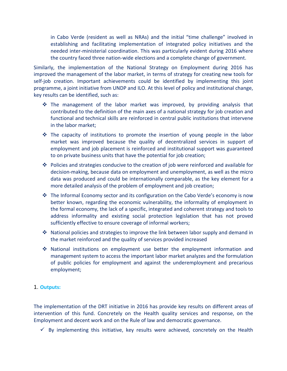in Cabo Verde (resident as well as NRAs) and the initial "time challenge" involved in establishing and facilitating implementation of integrated policy initiatives and the needed inter-ministerial coordination. This was particularly evident during 2016 where the country faced three nation-wide elections and a complete change of government.

Similarly, the implementation of the National Strategy on Employment during 2016 has improved the management of the labor market, in terms of strategy for creating new tools for self-job creation. Important achievements could be identified by implementing this joint programme, a joint initiative from UNDP and ILO. At this level of policy and institutional change, key results can be identified, such as:

- $\div$  The management of the labor market was improved, by providing analysis that contributed to the definition of the main axes of a national strategy for job creation and functional and technical skills are reinforced in central public institutions that intervene in the labor market;
- $\cdot \cdot$  The capacity of institutions to promote the insertion of young people in the labor market was improved because the quality of decentralized services in support of employment and job placement is reinforced and institutional support was guaranteed to on private business units that have the potential for job creation;
- $\cdot \cdot$  Policies and strategies conducive to the creation of job were reinforced and available for decision-making, because data on employment and unemployment, as well as the micro data was produced and could be internationally comparable, as the key element for a more detailed analysis of the problem of employment and job creation;
- $\cdot \cdot$  The Informal Economy sector and its configuration on the Cabo Verde's economy is now better known, regarding the economic vulnerability, the informality of employment in the formal economy, the lack of a specific, integrated and coherent strategy and tools to address informality and existing social protection legislation that has not proved sufficiently effective to ensure coverage of informal workers;
- $\cdot$  National policies and strategies to improve the link between labor supply and demand in the market reinforced and the quality of services provided increased
- National institutions on employment use better the employment information and management system to access the important labor market analyzes and the formulation of public policies for employment and against the underemployment and precarious employment;

## 1. **Outputs:**

The implementation of the DRT initiative in 2016 has provide key results on different areas of intervention of this fund. Concretely on the Health quality services and response, on the Employment and decent work and on the Rule of law and democratic governance.

 $\checkmark$  By implementing this initiative, key results were achieved, concretely on the Health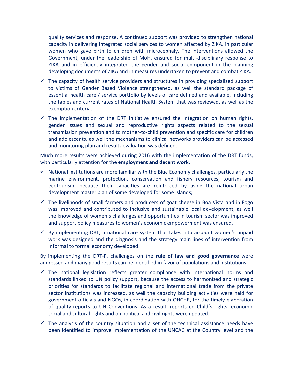quality services and response. A continued support was provided to strengthen national capacity in delivering integrated social services to women affected by ZIKA, in particular women who gave birth to children with microcephaly. The interventions allowed the Government, under the leadership of MoH, ensured for multi-disciplinary response to ZIKA and in efficiently integrated the gender and social component in the planning developing documents of ZIKA and in measures undertaken to prevent and combat ZIKA.

- $\checkmark$  The capacity of health service providers and structures in providing specialized support to victims of Gender Based Violence strengthened, as well the standard package of essential health care / service portfolio by levels of care defined and available, including the tables and current rates of National Health System that was reviewed, as well as the exemption criteria.
- $\checkmark$  The implementation of the DRT initiative ensured the integration on human rights, gender issues and sexual and reproductive rights aspects related to the sexual transmission prevention and to mother-to-child prevention and specific care for children and adolescents, as well the mechanisms to clinical networks providers can be accessed and monitoring plan and results evaluation was defined.

Much more results were achieved during 2016 with the implementation of the DRT funds, with particularly attention for the **employment and decent work**.

- $\checkmark$  National institutions are more familiar with the Blue Economy challenges, particularly the marine environment, protection, conservation and fishery resources, tourism and ecotourism, because their capacities are reinforced by using the national urban development master plan of some developed for some islands;
- $\checkmark$  The livelihoods of small farmers and producers of goat cheese in Boa Vista and in Fogo was improved and contributed to inclusive and sustainable local development, as well the knowledge of women's challenges and opportunities in tourism sector was improved and support policy measures to women's economic empowerment was ensured.
- $\checkmark$  By implementing DRT, a national care system that takes into account women's unpaid work was designed and the diagnosis and the strategy main lines of intervention from informal to formal economy developed.

By implementing the DRT-F, challenges on the **rule of law and good governance** were addressed and many good results can be identified in favor of populations and institutions.

- $\checkmark$  The national legislation reflects greater compliance with international norms and standards linked to UN policy support, because the access to harmonized and strategic priorities for standards to facilitate regional and international trade from the private sector institutions was increased, as well the capacity building activities were held for government officials and NGOs, in coordination with OHCHR, for the timely elaboration of quality reports to UN Conventions. As a result, reports on Child´s rights, economic social and cultural rights and on political and civil rights were updated.
- $\checkmark$  The analysis of the country situation and a set of the technical assistance needs have been identified to improve implementation of the UNCAC at the Country level and the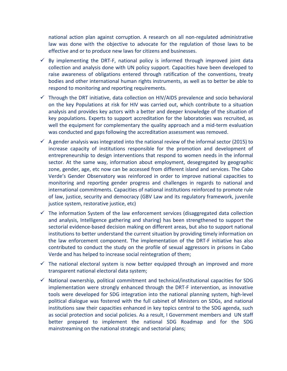national action plan against corruption. A research on all non-regulated administrative law was done with the objective to advocate for the regulation of those laws to be effective and or to produce new laws for citizens and businesses.

- $\checkmark$  By implementing the DRT-F, national policy is informed through improved joint data collection and analysis done with UN policy support. Capacities have been developed to raise awareness of obligations entered through ratification of the conventions, treaty bodies and other international human rights instruments, as well as to better be able to respond to monitoring and reporting requirements.
- $\checkmark$  Through the DRT initiative, data collection on HIV/AIDS prevalence and socio behavioral on the key Populations at risk for HIV was carried out, which contribute to a situation analysis and provides key actors with a better and deeper knowledge of the situation of key populations. Experts to support accreditation for the laboratories was recruited, as well the equipment for complementary the quality approach and a mid-term evaluation was conducted and gaps following the accreditation assessment was removed.
- $\checkmark$  A gender analysis was integrated into the national review of the informal sector (2015) to increase capacity of institutions responsible for the promotion and development of entrepreneurship to design interventions that respond to women needs in the informal sector. At the same way, information about employment, desegregated by geographic zone, gender, age, etc now can be accessed from different island and services. The Cabo Verde's Gender Observatory was reinforced in order to improve national capacities to monitoring and reporting gender progress and challenges in regards to national and international commitments. Capacities of national institutions reinforced to promote rule of law, justice, security and democracy (GBV Law and its regulatory framework, juvenile justice system, restorative justice, etc)
- $\checkmark$  The information System of the law enforcement services (disaggregated data collection and analysis, Intelligence gathering and sharing) has been strengthened to support the sectorial evidence-based decision making on different areas, but also to support national institutions to better understand the current situation by providing timely information on the law enforcement component. The implementation of the DRT-F initiative has also contributed to conduct the study on the profile of sexual aggressors in prisons in Cabo Verde and has helped to increase social reintegration of them;
- $\checkmark$  The national electoral system is now better equipped through an improved and more transparent national electoral data system;
- $\checkmark$  National ownership, political commitment and technical/institutional capacities for SDG implementation were strongly enhanced through the DRT-F intervention, as innovative tools were developed for SDG integration into the national planning system, high-level political dialogue was fostered with the full cabinet of Ministers on SDGs, and national institutions saw their capacities enhanced in key topics central to the SDG agenda, such as social protection and social policies. As a result, I Government members and UN staff better prepared to implement the national SDG Roadmap and for the SDG mainstreaming on the national strategic and sectorial plans;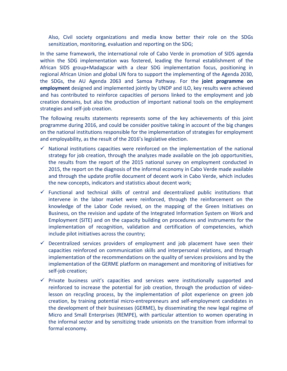Also, Civil society organizations and media know better their role on the SDGs sensitization, monitoring, evaluation and reporting on the SDG;

In the same framework, the international role of Cabo Verde in promotion of SIDS agenda within the SDG implementation was fostered, leading the formal establishment of the African SIDS group+Madagscar with a clear SDG implementation focus, positioning in regional African Union and global UN fora to support the implementing of the Agenda 2030, the SDGs, the AU Agenda 2063 and Samoa Pathway. For the **joint programme on employment** designed and implemented jointly by UNDP and ILO, key results were achieved and has contributed to reinforce capacities of persons linked to the employment and job creation domains, but also the production of important national tools on the employment strategies and self-job creation.

The following results statements represents some of the key achievements of this joint programme during 2016, and could be consider positive taking in account of the big changes on the national institutions responsible for the implementation of strategies for employment and employability, as the result of the 2016's legislative election.

- $\checkmark$  National institutions capacities were reinforced on the implementation of the national strategy for job creation, through the analyzes made available on the job opportunities, the results from the report of the 2015 national survey on employment conducted in 2015, the report on the diagnosis of the informal economy in Cabo Verde made available and through the update profile document of decent work in Cabo Verde, which includes the new concepts, indicators and statistics about decent work;
- $\checkmark$  Functional and technical skills of central and decentralized public institutions that intervene in the labor market were reinforced, through the reinforcement on the knowledge of the Labor Code revised, on the mapping of the Green Initiatives on Business, on the revision and update of the Integrated Information System on Work and Employment (SITE) and on the capacity building on procedures and instruments for the implementation of recognition, validation and certification of competencies, which include pilot initiatives across the country;
- $\checkmark$  Decentralized services providers of employment and job placement have seen their capacities reinforced on communication skills and interpersonal relations, and through implementation of the recommendations on the quality of services provisions and by the implementation of the GERME platform on management and monitoring of initiatives for self-job creation;
- $\checkmark$  Private business unit's capacities and services were institutionally supported and reinforced to increase the potential for job creation, through the production of videolesson on recycling process, by the implementation of pilot experience on green job creation, by training potential micro-entrepreneurs and self-employment candidates in the development of their businesses (GERME), by disseminating the new legal regime of Micro and Small Enterprises (REMPE), with particular attention to women operating in the informal sector and by sensitizing trade unionists on the transition from informal to formal economy.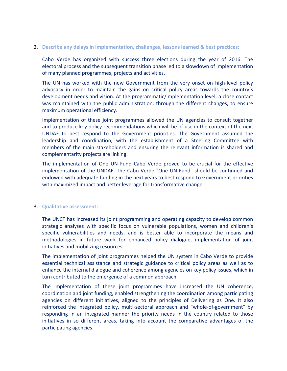#### 2. **Describe any delays in implementation, challenges, lessons learned & best practices:**

Cabo Verde has organized with success three elections during the year of 2016. The electoral process and the subsequent transition phase led to a slowdown of implementation of many planned programmes, projects and activities.

The UN has worked with the new Government from the very onset on high-level policy advocacy in order to maintain the gains on critical policy areas towards the country´s development needs and vision. At the programmatic/implementation level, a close contact was maintained with the public administration, through the different changes, to ensure maximum operational efficiency.

Implementation of these joint programmes allowed the UN agencies to consult together and to produce key policy recommendations which will be of use in the context of the next UNDAF to best respond to the Government priorities. The Government assumed the leadership and coordination, with the establishment of a Steering Committee with members of the main stakeholders and ensuring the relevant information is shared and complementarity projects are linking.

The implementation of One UN Fund Cabo Verde proved to be crucial for the effective implementation of the UNDAF. The Cabo Verde "One UN Fund" should be continued and endowed with adequate funding in the next years to best respond to Government priorities with maximized impact and better leverage for transformative change.

#### 3. **Qualitative assessment:**

The UNCT has increased its joint programming and operating capacity to develop common strategic analyses with specific focus on vulnerable populations, women and children's specific vulnerabilities and needs, and is better able to incorporate the means and methodologies in future work for enhanced policy dialogue, implementation of joint initiatives and mobilizing resources.

The implementation of joint programmes helped the UN system in Cabo Verde to provide essential technical assistance and strategic guidance to critical policy areas as well as to enhance the internal dialogue and coherence among agencies on key policy issues, which in turn contributed to the emergence of a common approach.

The implementation of these joint programmes have increased the UN coherence, coordination and joint funding, enabled strengthening the coordination among participating agencies on different initiatives, aligned to the principles of Delivering as One. It also reinforced the integrated policy, multi-sectoral approach and "whole-of-government" by responding in an integrated manner the priority needs in the country related to those initiatives in so different areas, taking into account the comparative advantages of the participating agencies.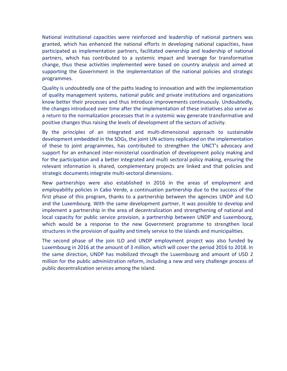National institutional capacities were reinforced and leadership of national partners was granted, which has enhanced the national efforts in developing national capacities, have participated as implementation partners, facilitated ownership and leadership of national partners, which has contributed to a systemic impact and leverage for transformative change, thus these activities implemented were based on country analysis and aimed at supporting the Government in the implementation of the national policies and strategic programmes.

Quality is undoubtedly one of the paths leading to innovation and with the implementation of quality management systems, national public and private institutions and organizations know better their processes and thus introduce improvements continuously. Undoubtedly, the changes introduced over time after the implementation of these initiatives also serve as a return to the normalization processes that in a systemic way generate transformative and positive changes thus raising the levels of development of the sectors of activity.

By the principles of an integrated and multi-dimensional approach to sustainable development embedded in the SDGs, the joint UN actions replicated on the implementation of these to joint programmes, has contributed to strengthen the UNCT's advocacy and support for an enhanced inter-ministerial coordination of development policy making and for the participation and a better integrated and multi sectoral policy making, ensuring the relevant information is shared, complementary projects are linked and that policies and strategic documents integrate multi-sectoral dimensions.

New partnerships were also established in 2016 in the areas of employment and employability policies in Cabo Verde, a continuation partnership due to the success of the first phase of this program, thanks to a partnership between the agencies UNDP and ILO and the Luxembourg. With the same development partner, it was possible to develop and implement a partnership in the area of decentralization and strengthening of national and local capacity for public service provision, a partnership between UNDP and Luxembourg, which would be a response to the new Government programme to strengthen local structures in the provision of quality and timely service to the islands and municipalities.

The second phase of the join ILO and UNDP employment project was also funded by Luxembourg in 2016 at the amount of 3 million, which will cover the period 2016 to 2018. In the same direction, UNDP has mobilized through the Luxembourg and amount of USD 2 million for the public administration reform, including a new and very challenge process of public decentralization services among the island.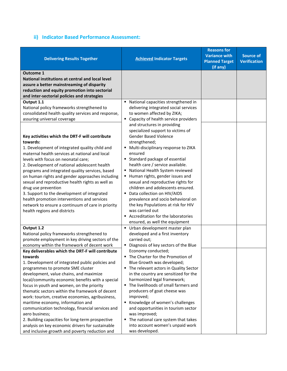# **ii) Indicator Based Performance Assessment:**

| <b>Delivering Results Together</b>                                                                                                                                                                                 | <b>Achieved Indicator Targets</b>                                                                                 | <b>Reasons for</b><br><b>Variance with</b><br><b>Planned Target</b> | <b>Source of</b><br><b>Verification</b> |
|--------------------------------------------------------------------------------------------------------------------------------------------------------------------------------------------------------------------|-------------------------------------------------------------------------------------------------------------------|---------------------------------------------------------------------|-----------------------------------------|
|                                                                                                                                                                                                                    |                                                                                                                   | (if any)                                                            |                                         |
| <b>Outcome 1</b><br>National institutions at central and local level<br>assure a better mainstreaming of disparity<br>reduction and equity promotion into sectorial<br>and inter-sectorial policies and strategies |                                                                                                                   |                                                                     |                                         |
| Output 1.1                                                                                                                                                                                                         | National capacities strengthened in                                                                               |                                                                     |                                         |
| National policy frameworks strengthened to<br>consolidated health quality services and response,<br>assuring universal coverage                                                                                    | delivering integrated social services<br>to women affected by ZIKA;<br>Capacity of health service providers<br>٠  |                                                                     |                                         |
| Key activities which the DRT-F will contribute<br>towards:                                                                                                                                                         | and structures in providing<br>specialized support to victims of<br><b>Gender Based Violence</b><br>strengthened; |                                                                     |                                         |
| 1. Development of integrated quality child and                                                                                                                                                                     | • Multi-disciplinary response to ZIKA                                                                             |                                                                     |                                         |
| maternal health services at national and local                                                                                                                                                                     | ensured                                                                                                           |                                                                     |                                         |
| levels with focus on neonatal care;                                                                                                                                                                                | Standard package of essential                                                                                     |                                                                     |                                         |
| 2. Development of national adolescent health                                                                                                                                                                       | health care / service available.                                                                                  |                                                                     |                                         |
| programs and integrated quality services, based                                                                                                                                                                    | • National Health System reviewed                                                                                 |                                                                     |                                         |
| on human rights and gender approaches including                                                                                                                                                                    | ■ Human rights, gender issues and                                                                                 |                                                                     |                                         |
| sexual and reproductive health rights as well as                                                                                                                                                                   | sexual and reproductive rights for<br>children and adolescents ensured.                                           |                                                                     |                                         |
| drug use prevention<br>3. Support to the development of integrated                                                                                                                                                 | • Data collection on HIV/AIDS                                                                                     |                                                                     |                                         |
| health promotion interventions and services                                                                                                                                                                        | prevalence and socio behavioral on                                                                                |                                                                     |                                         |
| network to ensure a continuum of care in priority                                                                                                                                                                  | the key Populations at risk for HIV                                                                               |                                                                     |                                         |
| health regions and districts                                                                                                                                                                                       | was carried out                                                                                                   |                                                                     |                                         |
|                                                                                                                                                                                                                    | ■ Accreditation for the laboratories                                                                              |                                                                     |                                         |
|                                                                                                                                                                                                                    | ensured, as well the equipment                                                                                    |                                                                     |                                         |
| Output 1.2                                                                                                                                                                                                         | Urban development master plan                                                                                     |                                                                     |                                         |
| National policy frameworks strengthened to                                                                                                                                                                         | developed and a first inventory                                                                                   |                                                                     |                                         |
| promote employment in key driving sectors of the                                                                                                                                                                   | carried out;                                                                                                      |                                                                     |                                         |
| economy within the framework of decent work                                                                                                                                                                        | Diagnosis of key sectors of the Blue                                                                              |                                                                     |                                         |
| Key deliverables which the DRT-F will contribute<br>towards                                                                                                                                                        | Economy conducted;                                                                                                |                                                                     |                                         |
| 1. Development of integrated public policies and                                                                                                                                                                   | The Charter for the Promotion of<br>Blue Growth was developed;                                                    |                                                                     |                                         |
| programmes to promote SME cluster                                                                                                                                                                                  | • The relevant actors in Quality Sector                                                                           |                                                                     |                                         |
| development, value chains, and maximize                                                                                                                                                                            | in the country are sensitized for the                                                                             |                                                                     |                                         |
| local/community economic benefits with a special                                                                                                                                                                   | harmonized legal framework;                                                                                       |                                                                     |                                         |
| focus in youth and women, on the priority                                                                                                                                                                          | The livelihoods of small farmers and                                                                              |                                                                     |                                         |
| thematic sectors within the framework of decent                                                                                                                                                                    | producers of goat cheese was                                                                                      |                                                                     |                                         |
| work: tourism, creative economies, agribusiness,                                                                                                                                                                   | improved;                                                                                                         |                                                                     |                                         |
| maritime economy, information and                                                                                                                                                                                  | Knowledge of women's challenges                                                                                   |                                                                     |                                         |
| communication technology, financial services and                                                                                                                                                                   | and opportunities in tourism sector                                                                               |                                                                     |                                         |
| aero business;                                                                                                                                                                                                     | was improved;                                                                                                     |                                                                     |                                         |
| 2. Building capacities for long-term prospective<br>analysis on key economic drivers for sustainable                                                                                                               | • The national care system that takes<br>into account women's unpaid work                                         |                                                                     |                                         |
| and inclusive growth and poverty reduction and                                                                                                                                                                     | was developed.                                                                                                    |                                                                     |                                         |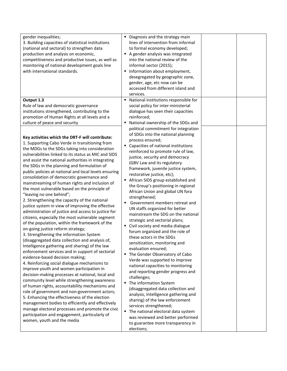| gender inequalities;<br>3. Building capacities of statistical institutions<br>(national and sectoral) to strengthen data<br>production and analysis on economic,<br>competitiveness and productive issues, as well as<br>monitoring of national development goals line<br>with international standards.                                                                                                                                                                                                                                                                                                                                                                                                                                                                                                                                                                                                                                                                                                                                                                                                                                                                                                                                                                                                                                                                                                                                                                                                                                                                                                                                            | Diagnosis and the strategy main<br>lines of intervention from informal<br>to formal economy developed;<br>A gender analysis was integrated<br>into the national review of the<br>informal sector (2015);<br>Information about employment,<br>desegregated by geographic zone,<br>gender, age, etc now can be<br>accessed from different island and<br>services.                                                                                                                                                                                                                                                                                                                                                                                                                                                                                                                                                                                                                                                                                                                                                                                                                                                                   |
|----------------------------------------------------------------------------------------------------------------------------------------------------------------------------------------------------------------------------------------------------------------------------------------------------------------------------------------------------------------------------------------------------------------------------------------------------------------------------------------------------------------------------------------------------------------------------------------------------------------------------------------------------------------------------------------------------------------------------------------------------------------------------------------------------------------------------------------------------------------------------------------------------------------------------------------------------------------------------------------------------------------------------------------------------------------------------------------------------------------------------------------------------------------------------------------------------------------------------------------------------------------------------------------------------------------------------------------------------------------------------------------------------------------------------------------------------------------------------------------------------------------------------------------------------------------------------------------------------------------------------------------------------|-----------------------------------------------------------------------------------------------------------------------------------------------------------------------------------------------------------------------------------------------------------------------------------------------------------------------------------------------------------------------------------------------------------------------------------------------------------------------------------------------------------------------------------------------------------------------------------------------------------------------------------------------------------------------------------------------------------------------------------------------------------------------------------------------------------------------------------------------------------------------------------------------------------------------------------------------------------------------------------------------------------------------------------------------------------------------------------------------------------------------------------------------------------------------------------------------------------------------------------|
| Output 1.3<br>Rule of law and democratic governance<br>institutions strengthened, contributing to the<br>promotion of Human Rights at all levels and a<br>culture of peace and security                                                                                                                                                                                                                                                                                                                                                                                                                                                                                                                                                                                                                                                                                                                                                                                                                                                                                                                                                                                                                                                                                                                                                                                                                                                                                                                                                                                                                                                            | National institutions responsible for<br>٠<br>social policy for inter-ministerial<br>dialogue has seen their capacities<br>reinforced;<br>National ownership of the SDGs and                                                                                                                                                                                                                                                                                                                                                                                                                                                                                                                                                                                                                                                                                                                                                                                                                                                                                                                                                                                                                                                      |
| Key activities which the DRT-F will contribute:<br>1. Supporting Cabo Verde in transitioning from<br>the MDGs to the SDGs taking into consideration<br>vulnerabilities linked to its status as MIC and SIDS<br>and assist the national authorities in integrating<br>the SDGs in the planning and formulation of<br>public policies at national and local levels ensuring<br>consolidation of democratic governance and<br>mainstreaming of human rights and inclusion of<br>the most vulnerable based on the principle of<br>"leaving no one behind";<br>2. Strengthening the capacity of the national<br>justice system in view of improving the effective<br>administration of justice and access to justice for<br>citizens, especially the most vulnerable segment<br>of the population, within the framework of the<br>on-going justice reform strategy;<br>3. Strengthening the information System<br>(disaggregated data collection and analysis of,<br>Intelligence gathering and sharing) of the law<br>enforcement services and in support of sectorial<br>evidence-based decision making;<br>4. Reinforcing social dialogue mechanisms to<br>improve youth and women participation in<br>decision-making processes at national, local and<br>community level while strengthening awareness<br>of human rights, accountability mechanisms and<br>role of government and non-government actors;<br>5. Enhancing the effectiveness of the election<br>management bodies to efficiently and effectively<br>manage electoral processes and promote the civic<br>participation and engagement, particularly of<br>women, youth and the media | political commitment for integration<br>of SDGs into the national planning<br>process ensured;<br>Capacities of national institutions<br>reinforced to promote rule of law,<br>justice, security and democracy<br>(GBV Law and its regulatory<br>framework, juvenile justice system,<br>restorative justice, etc);<br>African SIDS group established and<br>٠<br>the Group's positioning in regional<br>African Union and global UN fora<br>strengthened;<br>Government members retreat and<br>UN staffs organized for better<br>mainstream the SDG on the national<br>strategic and sectorial plans;<br>Civil society and media dialogue<br>forum organized and the role of<br>these actors in the SDGs<br>sensitization, monitoring and<br>evaluation ensured;<br>The Gender Observatory of Cabo<br>٠<br>Verde was supported to improve<br>national capacities to monitoring<br>and reporting gender progress and<br>challenges;<br>The information System<br>٠<br>(disaggregated data collection and<br>analysis, Intelligence gathering and<br>sharing) of the law enforcement<br>services strengthened;<br>The national electoral data system<br>٠<br>was reviewed and better performed<br>to guarantee more transparency in |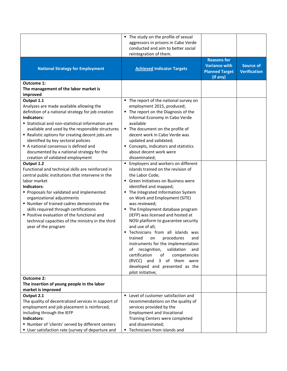|                                                                                                                                                                                                                                                                                                                                                                                                                                                                                                                                                                                                                                                                                                                                                                                                                                                                                                               | • The study on the profile of sexual<br>aggressors in prisons in Cabo Verde<br>conducted and aim to better social                                                                                                                                                                                                                                                                                                                                                                                                                                                                                                                                                                                                                                                                                                                                                                                                                                                                                                        |                                                                                 |                                         |
|---------------------------------------------------------------------------------------------------------------------------------------------------------------------------------------------------------------------------------------------------------------------------------------------------------------------------------------------------------------------------------------------------------------------------------------------------------------------------------------------------------------------------------------------------------------------------------------------------------------------------------------------------------------------------------------------------------------------------------------------------------------------------------------------------------------------------------------------------------------------------------------------------------------|--------------------------------------------------------------------------------------------------------------------------------------------------------------------------------------------------------------------------------------------------------------------------------------------------------------------------------------------------------------------------------------------------------------------------------------------------------------------------------------------------------------------------------------------------------------------------------------------------------------------------------------------------------------------------------------------------------------------------------------------------------------------------------------------------------------------------------------------------------------------------------------------------------------------------------------------------------------------------------------------------------------------------|---------------------------------------------------------------------------------|-----------------------------------------|
| <b>National Strategy for Employment</b>                                                                                                                                                                                                                                                                                                                                                                                                                                                                                                                                                                                                                                                                                                                                                                                                                                                                       | reintegration of them.<br><b>Achieved Indicator Targets</b>                                                                                                                                                                                                                                                                                                                                                                                                                                                                                                                                                                                                                                                                                                                                                                                                                                                                                                                                                              | <b>Reasons for</b><br><b>Variance with</b><br><b>Planned Target</b><br>(if any) | <b>Source of</b><br><b>Verification</b> |
| Outcome 1:<br>The management of the labor market is<br>improved                                                                                                                                                                                                                                                                                                                                                                                                                                                                                                                                                                                                                                                                                                                                                                                                                                               |                                                                                                                                                                                                                                                                                                                                                                                                                                                                                                                                                                                                                                                                                                                                                                                                                                                                                                                                                                                                                          |                                                                                 |                                         |
| Output 1.1<br>Analyzes are made available allowing the<br>definition of a national strategy for job creation<br>Indicators:<br><b>Statistical and non-statistical information are</b><br>available and used by the responsible structures<br>" Realistic options for creating decent jobs are<br>identified by key sectoral policies<br>A national consensus is defined and<br>documented by a national strategy for the<br>creation of validated employment<br>Output 1.2<br>Functional and technical skills are reinforced in<br>central public institutions that intervene in the<br>labor market<br>Indicators:<br>Proposals for validated and implemented<br>organizational adjustments<br>" Number of trained cadres demonstrate the<br>skills required through certifications<br>Positive evaluation of the functional and<br>technical capacities of the ministry in the third<br>year of the program | The report of the national survey on<br>employment 2015, produced;<br>The report on the Diagnosis of the<br>Informal Economy in Cabo Verde<br>available<br>• The document on the profile of<br>decent work in Cabo Verde was<br>updated and validated;<br>• Concepts, indicators and statistics<br>about decent work were<br>disseminated;<br>Employers and workers on different<br>islands trained on the revision of<br>the Labor Code;<br>Green Initiatives on Business were<br>identified and mapped;<br>The Integrated Information System<br>on Work and Employment (SITE)<br>was reviewed;<br>The Employment database program<br>(IEFP) was licensed and hosted at<br>NOSI platform to guarantee security<br>and use of all;<br>Technicians from all islands was<br>trained<br>procedures<br>and<br>on<br>instruments for the implementation<br>recognition,<br>validation<br>οf<br>and<br>certification<br>of<br>competencies<br>(RVCC) and 3 of them were<br>developed and presented as the<br>pilot initiative; |                                                                                 |                                         |
| <b>Outcome 2:</b><br>The insertion of young people in the labor                                                                                                                                                                                                                                                                                                                                                                                                                                                                                                                                                                                                                                                                                                                                                                                                                                               |                                                                                                                                                                                                                                                                                                                                                                                                                                                                                                                                                                                                                                                                                                                                                                                                                                                                                                                                                                                                                          |                                                                                 |                                         |
| market is improved                                                                                                                                                                                                                                                                                                                                                                                                                                                                                                                                                                                                                                                                                                                                                                                                                                                                                            |                                                                                                                                                                                                                                                                                                                                                                                                                                                                                                                                                                                                                                                                                                                                                                                                                                                                                                                                                                                                                          |                                                                                 |                                         |
| Output 2.1<br>The quality of decentralized services in support of<br>employment and job placement is reinforced,<br>including through the IEFP<br>Indicators:<br>" Number of 'clients' served by different centers<br>User satisfaction rate (survey of departure and                                                                                                                                                                                                                                                                                                                                                                                                                                                                                                                                                                                                                                         | Level of customer satisfaction and<br>recommendations on the quality of<br>services provided by the<br><b>Employment and Vocational</b><br>Training Centers were completed<br>and disseminated;<br>Technicians from islands and                                                                                                                                                                                                                                                                                                                                                                                                                                                                                                                                                                                                                                                                                                                                                                                          |                                                                                 |                                         |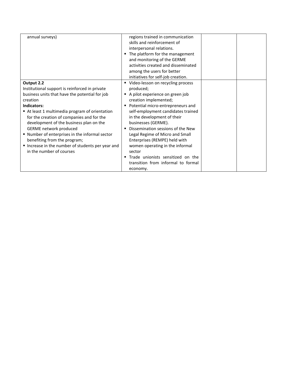| annual surveys)                                                                                                                                                                                                                                                                                                                                                                                                                                                              | regions trained in communication<br>skills and reinforcement of<br>interpersonal relations.<br>The platform for the management<br>and monitoring of the GERME<br>activities created and disseminated<br>among the users for better<br>initiatives for self-job creation.                                                                                                                                                                                                                           |  |
|------------------------------------------------------------------------------------------------------------------------------------------------------------------------------------------------------------------------------------------------------------------------------------------------------------------------------------------------------------------------------------------------------------------------------------------------------------------------------|----------------------------------------------------------------------------------------------------------------------------------------------------------------------------------------------------------------------------------------------------------------------------------------------------------------------------------------------------------------------------------------------------------------------------------------------------------------------------------------------------|--|
| Output 2.2<br>Institutional support is reinforced in private<br>business units that have the potential for job<br>creation<br>Indicators:<br>At least 1 multimedia program of orientation<br>for the creation of companies and for the<br>development of the business plan on the<br>GERME network produced<br>" Number of enterprises in the informal sector<br>benefiting from the program;<br>Increase in the number of students per year and<br>in the number of courses | Video-lesson on recycling process<br>٠<br>produced;<br>A pilot experience on green job<br>٠<br>creation implemented;<br>Potential micro-entrepreneurs and<br>self-employment candidates trained<br>in the development of their<br>businesses (GERME).<br>Dissemination sessions of the New<br>Legal Regime of Micro and Small<br>Enterprises (REMPE) held with<br>women operating in the informal<br>sector<br>Trade unionists sensitized on the<br>transition from informal to formal<br>economy. |  |